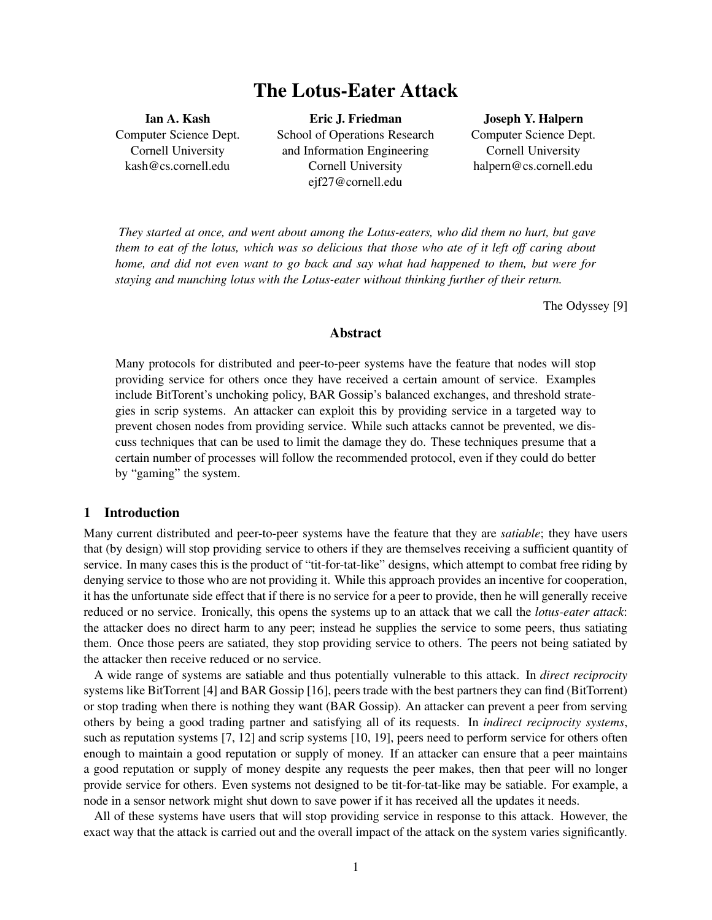# **The Lotus-Eater Attack**

**Ian A. Kash** Computer Science Dept. Cornell University kash@cs.cornell.edu

**Eric J. Friedman** School of Operations Research and Information Engineering Cornell University ejf27@cornell.edu

**Joseph Y. Halpern** Computer Science Dept. Cornell University halpern@cs.cornell.edu

*They started at once, and went about among the Lotus-eaters, who did them no hurt, but gave them to eat of the lotus, which was so delicious that those who ate of it left off caring about home, and did not even want to go back and say what had happened to them, but were for staying and munching lotus with the Lotus-eater without thinking further of their return.*

The Odyssey [9]

#### **Abstract**

Many protocols for distributed and peer-to-peer systems have the feature that nodes will stop providing service for others once they have received a certain amount of service. Examples include BitTorent's unchoking policy, BAR Gossip's balanced exchanges, and threshold strategies in scrip systems. An attacker can exploit this by providing service in a targeted way to prevent chosen nodes from providing service. While such attacks cannot be prevented, we discuss techniques that can be used to limit the damage they do. These techniques presume that a certain number of processes will follow the recommended protocol, even if they could do better by "gaming" the system.

## **1 Introduction**

Many current distributed and peer-to-peer systems have the feature that they are *satiable*; they have users that (by design) will stop providing service to others if they are themselves receiving a sufficient quantity of service. In many cases this is the product of "tit-for-tat-like" designs, which attempt to combat free riding by denying service to those who are not providing it. While this approach provides an incentive for cooperation, it has the unfortunate side effect that if there is no service for a peer to provide, then he will generally receive reduced or no service. Ironically, this opens the systems up to an attack that we call the *lotus-eater attack*: the attacker does no direct harm to any peer; instead he supplies the service to some peers, thus satiating them. Once those peers are satiated, they stop providing service to others. The peers not being satiated by the attacker then receive reduced or no service.

A wide range of systems are satiable and thus potentially vulnerable to this attack. In *direct reciprocity* systems like BitTorrent [4] and BAR Gossip [16], peers trade with the best partners they can find (BitTorrent) or stop trading when there is nothing they want (BAR Gossip). An attacker can prevent a peer from serving others by being a good trading partner and satisfying all of its requests. In *indirect reciprocity systems*, such as reputation systems [7, 12] and scrip systems [10, 19], peers need to perform service for others often enough to maintain a good reputation or supply of money. If an attacker can ensure that a peer maintains a good reputation or supply of money despite any requests the peer makes, then that peer will no longer provide service for others. Even systems not designed to be tit-for-tat-like may be satiable. For example, a node in a sensor network might shut down to save power if it has received all the updates it needs.

All of these systems have users that will stop providing service in response to this attack. However, the exact way that the attack is carried out and the overall impact of the attack on the system varies significantly.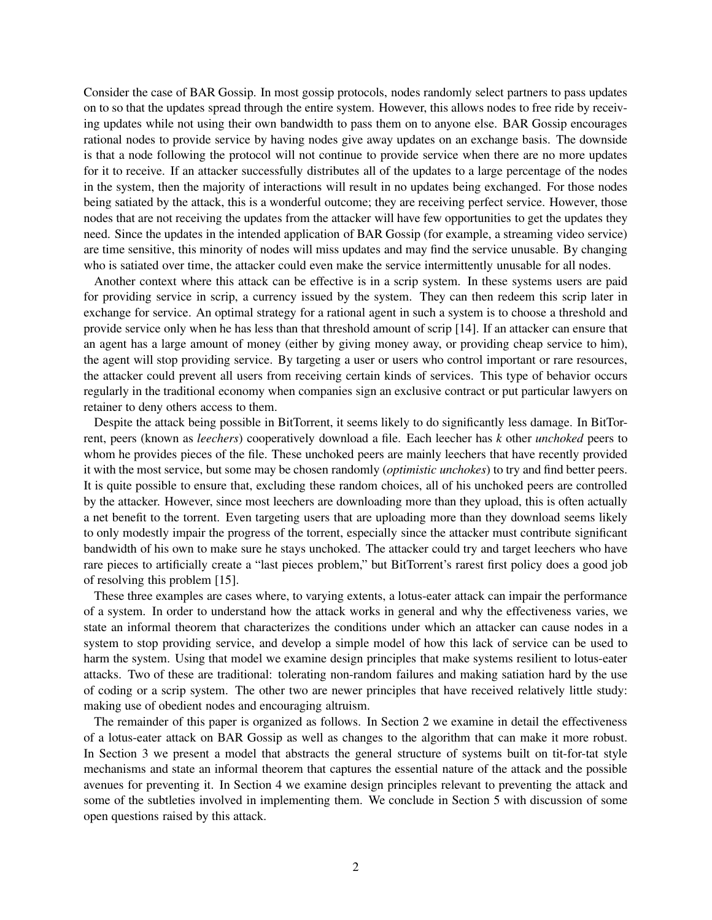Consider the case of BAR Gossip. In most gossip protocols, nodes randomly select partners to pass updates on to so that the updates spread through the entire system. However, this allows nodes to free ride by receiving updates while not using their own bandwidth to pass them on to anyone else. BAR Gossip encourages rational nodes to provide service by having nodes give away updates on an exchange basis. The downside is that a node following the protocol will not continue to provide service when there are no more updates for it to receive. If an attacker successfully distributes all of the updates to a large percentage of the nodes in the system, then the majority of interactions will result in no updates being exchanged. For those nodes being satiated by the attack, this is a wonderful outcome; they are receiving perfect service. However, those nodes that are not receiving the updates from the attacker will have few opportunities to get the updates they need. Since the updates in the intended application of BAR Gossip (for example, a streaming video service) are time sensitive, this minority of nodes will miss updates and may find the service unusable. By changing who is satiated over time, the attacker could even make the service intermittently unusable for all nodes.

Another context where this attack can be effective is in a scrip system. In these systems users are paid for providing service in scrip, a currency issued by the system. They can then redeem this scrip later in exchange for service. An optimal strategy for a rational agent in such a system is to choose a threshold and provide service only when he has less than that threshold amount of scrip [14]. If an attacker can ensure that an agent has a large amount of money (either by giving money away, or providing cheap service to him), the agent will stop providing service. By targeting a user or users who control important or rare resources, the attacker could prevent all users from receiving certain kinds of services. This type of behavior occurs regularly in the traditional economy when companies sign an exclusive contract or put particular lawyers on retainer to deny others access to them.

Despite the attack being possible in BitTorrent, it seems likely to do significantly less damage. In BitTorrent, peers (known as *leechers*) cooperatively download a file. Each leecher has *k* other *unchoked* peers to whom he provides pieces of the file. These unchoked peers are mainly leechers that have recently provided it with the most service, but some may be chosen randomly (*optimistic unchokes*) to try and find better peers. It is quite possible to ensure that, excluding these random choices, all of his unchoked peers are controlled by the attacker. However, since most leechers are downloading more than they upload, this is often actually a net benefit to the torrent. Even targeting users that are uploading more than they download seems likely to only modestly impair the progress of the torrent, especially since the attacker must contribute significant bandwidth of his own to make sure he stays unchoked. The attacker could try and target leechers who have rare pieces to artificially create a "last pieces problem," but BitTorrent's rarest first policy does a good job of resolving this problem [15].

These three examples are cases where, to varying extents, a lotus-eater attack can impair the performance of a system. In order to understand how the attack works in general and why the effectiveness varies, we state an informal theorem that characterizes the conditions under which an attacker can cause nodes in a system to stop providing service, and develop a simple model of how this lack of service can be used to harm the system. Using that model we examine design principles that make systems resilient to lotus-eater attacks. Two of these are traditional: tolerating non-random failures and making satiation hard by the use of coding or a scrip system. The other two are newer principles that have received relatively little study: making use of obedient nodes and encouraging altruism.

The remainder of this paper is organized as follows. In Section 2 we examine in detail the effectiveness of a lotus-eater attack on BAR Gossip as well as changes to the algorithm that can make it more robust. In Section 3 we present a model that abstracts the general structure of systems built on tit-for-tat style mechanisms and state an informal theorem that captures the essential nature of the attack and the possible avenues for preventing it. In Section 4 we examine design principles relevant to preventing the attack and some of the subtleties involved in implementing them. We conclude in Section 5 with discussion of some open questions raised by this attack.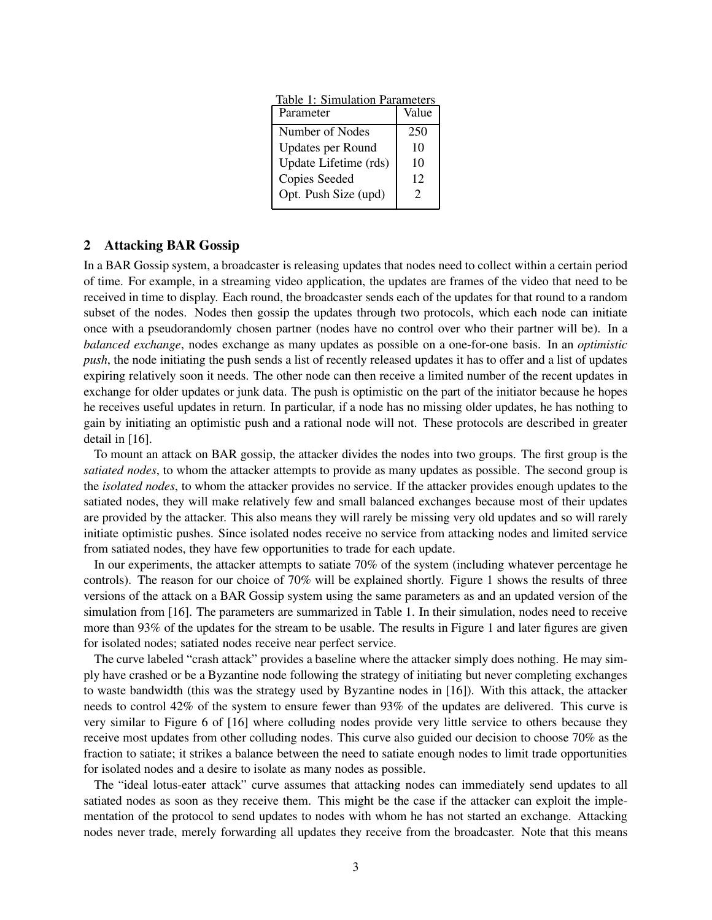| Table 1. Simulation Falameters |                       |
|--------------------------------|-----------------------|
| Parameter                      | Value                 |
| Number of Nodes                | 250                   |
| Updates per Round              | 10                    |
| Update Lifetime (rds)          | 10                    |
| Copies Seeded                  | 12                    |
| Opt. Push Size (upd)           | $\mathcal{D}_{\cdot}$ |
|                                |                       |

Table 1: Simulation Parameters

## **2 Attacking BAR Gossip**

In a BAR Gossip system, a broadcaster is releasing updates that nodes need to collect within a certain period of time. For example, in a streaming video application, the updates are frames of the video that need to be received in time to display. Each round, the broadcaster sends each of the updates for that round to a random subset of the nodes. Nodes then gossip the updates through two protocols, which each node can initiate once with a pseudorandomly chosen partner (nodes have no control over who their partner will be). In a *balanced exchange*, nodes exchange as many updates as possible on a one-for-one basis. In an *optimistic push*, the node initiating the push sends a list of recently released updates it has to offer and a list of updates expiring relatively soon it needs. The other node can then receive a limited number of the recent updates in exchange for older updates or junk data. The push is optimistic on the part of the initiator because he hopes he receives useful updates in return. In particular, if a node has no missing older updates, he has nothing to gain by initiating an optimistic push and a rational node will not. These protocols are described in greater detail in [16].

To mount an attack on BAR gossip, the attacker divides the nodes into two groups. The first group is the *satiated nodes*, to whom the attacker attempts to provide as many updates as possible. The second group is the *isolated nodes*, to whom the attacker provides no service. If the attacker provides enough updates to the satiated nodes, they will make relatively few and small balanced exchanges because most of their updates are provided by the attacker. This also means they will rarely be missing very old updates and so will rarely initiate optimistic pushes. Since isolated nodes receive no service from attacking nodes and limited service from satiated nodes, they have few opportunities to trade for each update.

In our experiments, the attacker attempts to satiate 70% of the system (including whatever percentage he controls). The reason for our choice of 70% will be explained shortly. Figure 1 shows the results of three versions of the attack on a BAR Gossip system using the same parameters as and an updated version of the simulation from [16]. The parameters are summarized in Table 1. In their simulation, nodes need to receive more than 93% of the updates for the stream to be usable. The results in Figure 1 and later figures are given for isolated nodes; satiated nodes receive near perfect service.

The curve labeled "crash attack" provides a baseline where the attacker simply does nothing. He may simply have crashed or be a Byzantine node following the strategy of initiating but never completing exchanges to waste bandwidth (this was the strategy used by Byzantine nodes in [16]). With this attack, the attacker needs to control 42% of the system to ensure fewer than 93% of the updates are delivered. This curve is very similar to Figure 6 of [16] where colluding nodes provide very little service to others because they receive most updates from other colluding nodes. This curve also guided our decision to choose 70% as the fraction to satiate; it strikes a balance between the need to satiate enough nodes to limit trade opportunities for isolated nodes and a desire to isolate as many nodes as possible.

The "ideal lotus-eater attack" curve assumes that attacking nodes can immediately send updates to all satiated nodes as soon as they receive them. This might be the case if the attacker can exploit the implementation of the protocol to send updates to nodes with whom he has not started an exchange. Attacking nodes never trade, merely forwarding all updates they receive from the broadcaster. Note that this means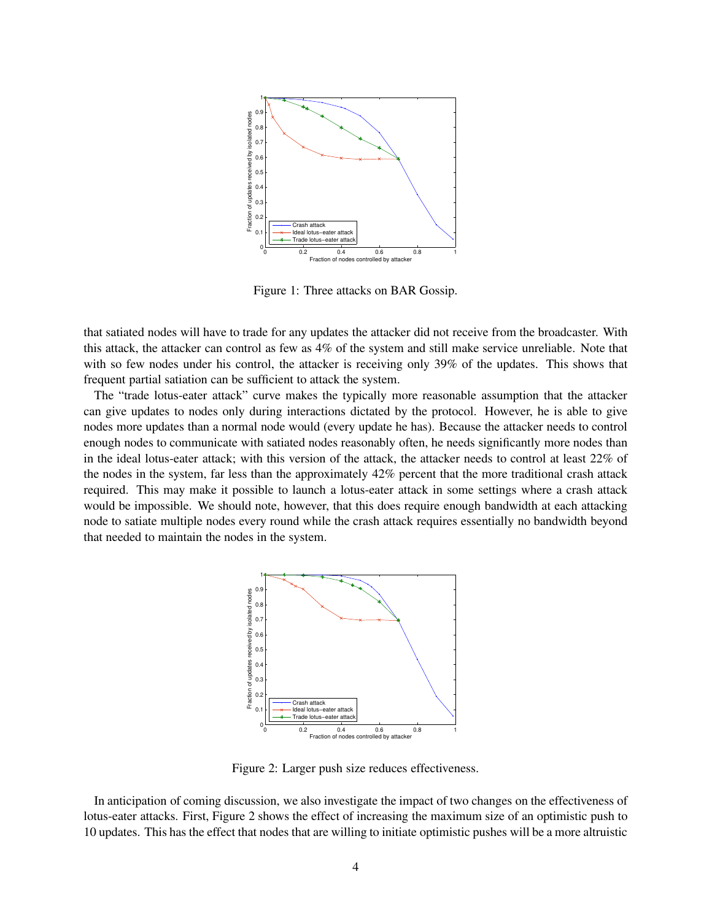

Figure 1: Three attacks on BAR Gossip.

that satiated nodes will have to trade for any updates the attacker did not receive from the broadcaster. With this attack, the attacker can control as few as 4% of the system and still make service unreliable. Note that with so few nodes under his control, the attacker is receiving only 39% of the updates. This shows that frequent partial satiation can be sufficient to attack the system.

The "trade lotus-eater attack" curve makes the typically more reasonable assumption that the attacker can give updates to nodes only during interactions dictated by the protocol. However, he is able to give nodes more updates than a normal node would (every update he has). Because the attacker needs to control enough nodes to communicate with satiated nodes reasonably often, he needs significantly more nodes than in the ideal lotus-eater attack; with this version of the attack, the attacker needs to control at least 22% of the nodes in the system, far less than the approximately 42% percent that the more traditional crash attack required. This may make it possible to launch a lotus-eater attack in some settings where a crash attack would be impossible. We should note, however, that this does require enough bandwidth at each attacking node to satiate multiple nodes every round while the crash attack requires essentially no bandwidth beyond that needed to maintain the nodes in the system.



Figure 2: Larger push size reduces effectiveness.

In anticipation of coming discussion, we also investigate the impact of two changes on the effectiveness of lotus-eater attacks. First, Figure 2 shows the effect of increasing the maximum size of an optimistic push to 10 updates. This has the effect that nodes that are willing to initiate optimistic pushes will be a more altruistic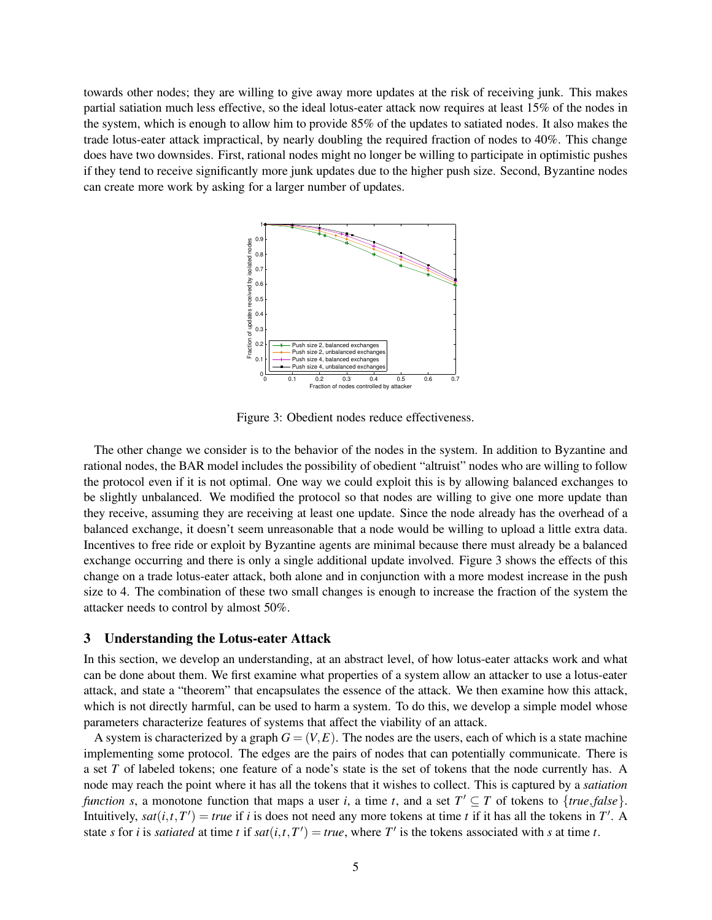towards other nodes; they are willing to give away more updates at the risk of receiving junk. This makes partial satiation much less effective, so the ideal lotus-eater attack now requires at least 15% of the nodes in the system, which is enough to allow him to provide 85% of the updates to satiated nodes. It also makes the trade lotus-eater attack impractical, by nearly doubling the required fraction of nodes to 40%. This change does have two downsides. First, rational nodes might no longer be willing to participate in optimistic pushes if they tend to receive significantly more junk updates due to the higher push size. Second, Byzantine nodes can create more work by asking for a larger number of updates.



Figure 3: Obedient nodes reduce effectiveness.

The other change we consider is to the behavior of the nodes in the system. In addition to Byzantine and rational nodes, the BAR model includes the possibility of obedient "altruist" nodes who are willing to follow the protocol even if it is not optimal. One way we could exploit this is by allowing balanced exchanges to be slightly unbalanced. We modified the protocol so that nodes are willing to give one more update than they receive, assuming they are receiving at least one update. Since the node already has the overhead of a balanced exchange, it doesn't seem unreasonable that a node would be willing to upload a little extra data. Incentives to free ride or exploit by Byzantine agents are minimal because there must already be a balanced exchange occurring and there is only a single additional update involved. Figure 3 shows the effects of this change on a trade lotus-eater attack, both alone and in conjunction with a more modest increase in the push size to 4. The combination of these two small changes is enough to increase the fraction of the system the attacker needs to control by almost 50%.

## **3 Understanding the Lotus-eater Attack**

In this section, we develop an understanding, at an abstract level, of how lotus-eater attacks work and what can be done about them. We first examine what properties of a system allow an attacker to use a lotus-eater attack, and state a "theorem" that encapsulates the essence of the attack. We then examine how this attack, which is not directly harmful, can be used to harm a system. To do this, we develop a simple model whose parameters characterize features of systems that affect the viability of an attack.

A system is characterized by a graph  $G = (V, E)$ . The nodes are the users, each of which is a state machine implementing some protocol. The edges are the pairs of nodes that can potentially communicate. There is a set *T* of labeled tokens; one feature of a node's state is the set of tokens that the node currently has. A node may reach the point where it has all the tokens that it wishes to collect. This is captured by a *satiation function s*, a monotone function that maps a user *i*, a time *t*, and a set  $T' \subseteq T$  of tokens to {*true*, *false*}. Intuitively,  $sat(i, t, T') = true$  if *i* is does not need any more tokens at time *t* if it has all the tokens in  $T'$ . A state *s* for *i* is *satiated* at time *t* if  $sat(i, t, T') = true$ , where *T'* is the tokens associated with *s* at time *t*.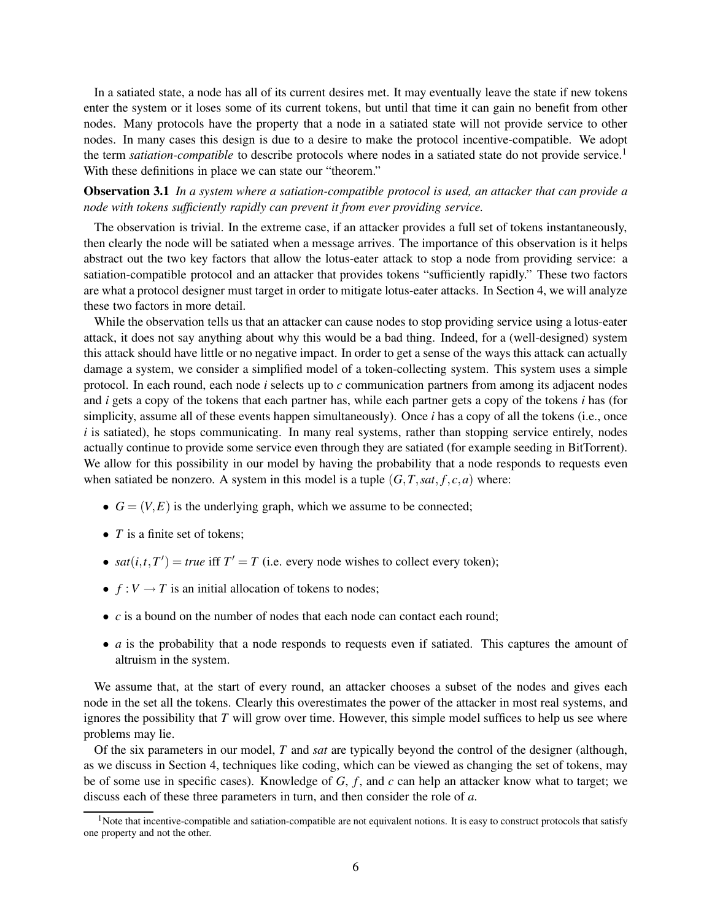In a satiated state, a node has all of its current desires met. It may eventually leave the state if new tokens enter the system or it loses some of its current tokens, but until that time it can gain no benefit from other nodes. Many protocols have the property that a node in a satiated state will not provide service to other nodes. In many cases this design is due to a desire to make the protocol incentive-compatible. We adopt the term *satiation-compatible* to describe protocols where nodes in a satiated state do not provide service.<sup>1</sup> With these definitions in place we can state our "theorem."

**Observation 3.1** *In a system where a satiation-compatible protocol is used, an attacker that can provide a node with tokens sufficiently rapidly can prevent it from ever providing service.*

The observation is trivial. In the extreme case, if an attacker provides a full set of tokens instantaneously, then clearly the node will be satiated when a message arrives. The importance of this observation is it helps abstract out the two key factors that allow the lotus-eater attack to stop a node from providing service: a satiation-compatible protocol and an attacker that provides tokens "sufficiently rapidly." These two factors are what a protocol designer must target in order to mitigate lotus-eater attacks. In Section 4, we will analyze these two factors in more detail.

While the observation tells us that an attacker can cause nodes to stop providing service using a lotus-eater attack, it does not say anything about why this would be a bad thing. Indeed, for a (well-designed) system this attack should have little or no negative impact. In order to get a sense of the ways this attack can actually damage a system, we consider a simplified model of a token-collecting system. This system uses a simple protocol. In each round, each node *i* selects up to *c* communication partners from among its adjacent nodes and *i* gets a copy of the tokens that each partner has, while each partner gets a copy of the tokens *i* has (for simplicity, assume all of these events happen simultaneously). Once *i* has a copy of all the tokens (i.e., once  $i$  is satiated), he stops communicating. In many real systems, rather than stopping service entirely, nodes actually continue to provide some service even through they are satiated (for example seeding in BitTorrent). We allow for this possibility in our model by having the probability that a node responds to requests even when satiated be nonzero. A system in this model is a tuple  $(G, T, sat, f, c, a)$  where:

- $G = (V, E)$  is the underlying graph, which we assume to be connected;
- *T* is a finite set of tokens;
- *sat*(*i*,*t*,*T*') = *true* iff  $T' = T$  (i.e. every node wishes to collect every token);
- $f: V \to T$  is an initial allocation of tokens to nodes;
- *c* is a bound on the number of nodes that each node can contact each round;
- *a* is the probability that a node responds to requests even if satiated. This captures the amount of altruism in the system.

We assume that, at the start of every round, an attacker chooses a subset of the nodes and gives each node in the set all the tokens. Clearly this overestimates the power of the attacker in most real systems, and ignores the possibility that *T* will grow over time. However, this simple model suffices to help us see where problems may lie.

Of the six parameters in our model, *T* and *sat* are typically beyond the control of the designer (although, as we discuss in Section 4, techniques like coding, which can be viewed as changing the set of tokens, may be of some use in specific cases). Knowledge of *G*, *f* , and *c* can help an attacker know what to target; we discuss each of these three parameters in turn, and then consider the role of *a*.

 $<sup>1</sup>$ Note that incentive-compatible and satiation-compatible are not equivalent notions. It is easy to construct protocols that satisfy</sup> one property and not the other.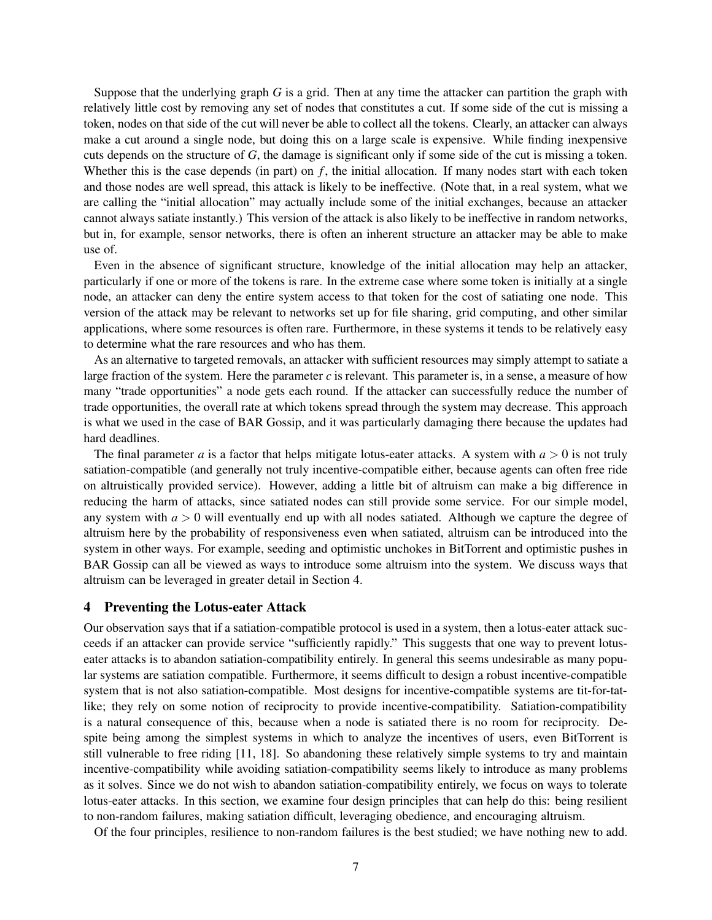Suppose that the underlying graph *G* is a grid. Then at any time the attacker can partition the graph with relatively little cost by removing any set of nodes that constitutes a cut. If some side of the cut is missing a token, nodes on that side of the cut will never be able to collect all the tokens. Clearly, an attacker can always make a cut around a single node, but doing this on a large scale is expensive. While finding inexpensive cuts depends on the structure of *G*, the damage is significant only if some side of the cut is missing a token. Whether this is the case depends (in part) on *f*, the initial allocation. If many nodes start with each token and those nodes are well spread, this attack is likely to be ineffective. (Note that, in a real system, what we are calling the "initial allocation" may actually include some of the initial exchanges, because an attacker cannot always satiate instantly.) This version of the attack is also likely to be ineffective in random networks, but in, for example, sensor networks, there is often an inherent structure an attacker may be able to make use of.

Even in the absence of significant structure, knowledge of the initial allocation may help an attacker, particularly if one or more of the tokens is rare. In the extreme case where some token is initially at a single node, an attacker can deny the entire system access to that token for the cost of satiating one node. This version of the attack may be relevant to networks set up for file sharing, grid computing, and other similar applications, where some resources is often rare. Furthermore, in these systems it tends to be relatively easy to determine what the rare resources and who has them.

As an alternative to targeted removals, an attacker with sufficient resources may simply attempt to satiate a large fraction of the system. Here the parameter *c* is relevant. This parameter is, in a sense, a measure of how many "trade opportunities" a node gets each round. If the attacker can successfully reduce the number of trade opportunities, the overall rate at which tokens spread through the system may decrease. This approach is what we used in the case of BAR Gossip, and it was particularly damaging there because the updates had hard deadlines.

The final parameter *a* is a factor that helps mitigate lotus-eater attacks. A system with  $a > 0$  is not truly satiation-compatible (and generally not truly incentive-compatible either, because agents can often free ride on altruistically provided service). However, adding a little bit of altruism can make a big difference in reducing the harm of attacks, since satiated nodes can still provide some service. For our simple model, any system with  $a > 0$  will eventually end up with all nodes satiated. Although we capture the degree of altruism here by the probability of responsiveness even when satiated, altruism can be introduced into the system in other ways. For example, seeding and optimistic unchokes in BitTorrent and optimistic pushes in BAR Gossip can all be viewed as ways to introduce some altruism into the system. We discuss ways that altruism can be leveraged in greater detail in Section 4.

#### **4 Preventing the Lotus-eater Attack**

Our observation says that if a satiation-compatible protocol is used in a system, then a lotus-eater attack succeeds if an attacker can provide service "sufficiently rapidly." This suggests that one way to prevent lotuseater attacks is to abandon satiation-compatibility entirely. In general this seems undesirable as many popular systems are satiation compatible. Furthermore, it seems difficult to design a robust incentive-compatible system that is not also satiation-compatible. Most designs for incentive-compatible systems are tit-for-tatlike; they rely on some notion of reciprocity to provide incentive-compatibility. Satiation-compatibility is a natural consequence of this, because when a node is satiated there is no room for reciprocity. Despite being among the simplest systems in which to analyze the incentives of users, even BitTorrent is still vulnerable to free riding [11, 18]. So abandoning these relatively simple systems to try and maintain incentive-compatibility while avoiding satiation-compatibility seems likely to introduce as many problems as it solves. Since we do not wish to abandon satiation-compatibility entirely, we focus on ways to tolerate lotus-eater attacks. In this section, we examine four design principles that can help do this: being resilient to non-random failures, making satiation difficult, leveraging obedience, and encouraging altruism.

Of the four principles, resilience to non-random failures is the best studied; we have nothing new to add.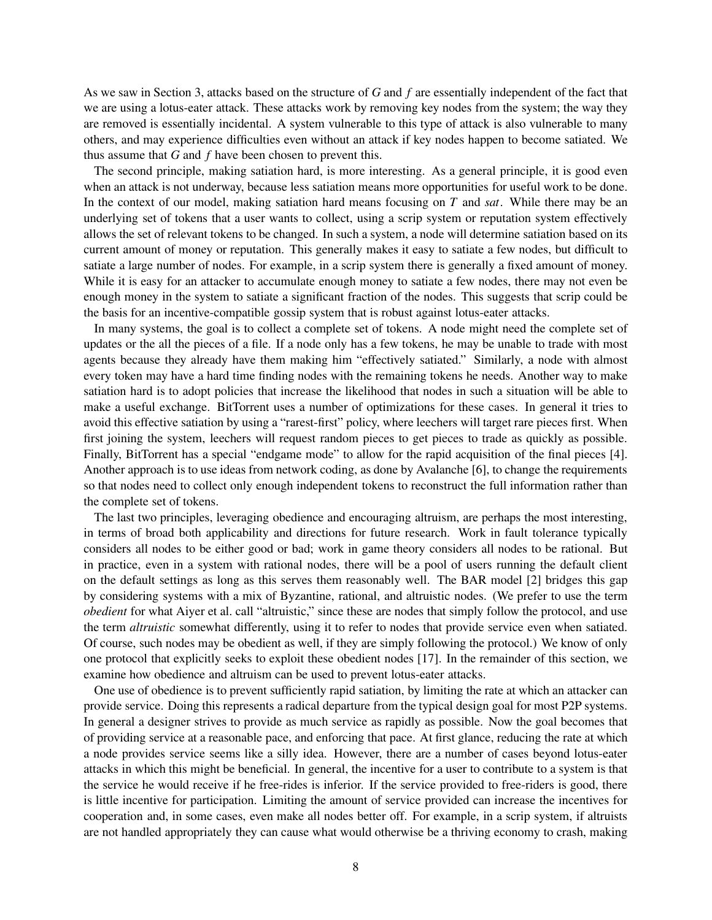As we saw in Section 3, attacks based on the structure of *G* and *f* are essentially independent of the fact that we are using a lotus-eater attack. These attacks work by removing key nodes from the system; the way they are removed is essentially incidental. A system vulnerable to this type of attack is also vulnerable to many others, and may experience difficulties even without an attack if key nodes happen to become satiated. We thus assume that *G* and *f* have been chosen to prevent this.

The second principle, making satiation hard, is more interesting. As a general principle, it is good even when an attack is not underway, because less satiation means more opportunities for useful work to be done. In the context of our model, making satiation hard means focusing on *T* and *sat*. While there may be an underlying set of tokens that a user wants to collect, using a scrip system or reputation system effectively allows the set of relevant tokens to be changed. In such a system, a node will determine satiation based on its current amount of money or reputation. This generally makes it easy to satiate a few nodes, but difficult to satiate a large number of nodes. For example, in a scrip system there is generally a fixed amount of money. While it is easy for an attacker to accumulate enough money to satiate a few nodes, there may not even be enough money in the system to satiate a significant fraction of the nodes. This suggests that scrip could be the basis for an incentive-compatible gossip system that is robust against lotus-eater attacks.

In many systems, the goal is to collect a complete set of tokens. A node might need the complete set of updates or the all the pieces of a file. If a node only has a few tokens, he may be unable to trade with most agents because they already have them making him "effectively satiated." Similarly, a node with almost every token may have a hard time finding nodes with the remaining tokens he needs. Another way to make satiation hard is to adopt policies that increase the likelihood that nodes in such a situation will be able to make a useful exchange. BitTorrent uses a number of optimizations for these cases. In general it tries to avoid this effective satiation by using a "rarest-first" policy, where leechers will target rare pieces first. When first joining the system, leechers will request random pieces to get pieces to trade as quickly as possible. Finally, BitTorrent has a special "endgame mode" to allow for the rapid acquisition of the final pieces [4]. Another approach is to use ideas from network coding, as done by Avalanche [6], to change the requirements so that nodes need to collect only enough independent tokens to reconstruct the full information rather than the complete set of tokens.

The last two principles, leveraging obedience and encouraging altruism, are perhaps the most interesting, in terms of broad both applicability and directions for future research. Work in fault tolerance typically considers all nodes to be either good or bad; work in game theory considers all nodes to be rational. But in practice, even in a system with rational nodes, there will be a pool of users running the default client on the default settings as long as this serves them reasonably well. The BAR model [2] bridges this gap by considering systems with a mix of Byzantine, rational, and altruistic nodes. (We prefer to use the term *obedient* for what Aiyer et al. call "altruistic," since these are nodes that simply follow the protocol, and use the term *altruistic* somewhat differently, using it to refer to nodes that provide service even when satiated. Of course, such nodes may be obedient as well, if they are simply following the protocol.) We know of only one protocol that explicitly seeks to exploit these obedient nodes [17]. In the remainder of this section, we examine how obedience and altruism can be used to prevent lotus-eater attacks.

One use of obedience is to prevent sufficiently rapid satiation, by limiting the rate at which an attacker can provide service. Doing this represents a radical departure from the typical design goal for most P2P systems. In general a designer strives to provide as much service as rapidly as possible. Now the goal becomes that of providing service at a reasonable pace, and enforcing that pace. At first glance, reducing the rate at which a node provides service seems like a silly idea. However, there are a number of cases beyond lotus-eater attacks in which this might be beneficial. In general, the incentive for a user to contribute to a system is that the service he would receive if he free-rides is inferior. If the service provided to free-riders is good, there is little incentive for participation. Limiting the amount of service provided can increase the incentives for cooperation and, in some cases, even make all nodes better off. For example, in a scrip system, if altruists are not handled appropriately they can cause what would otherwise be a thriving economy to crash, making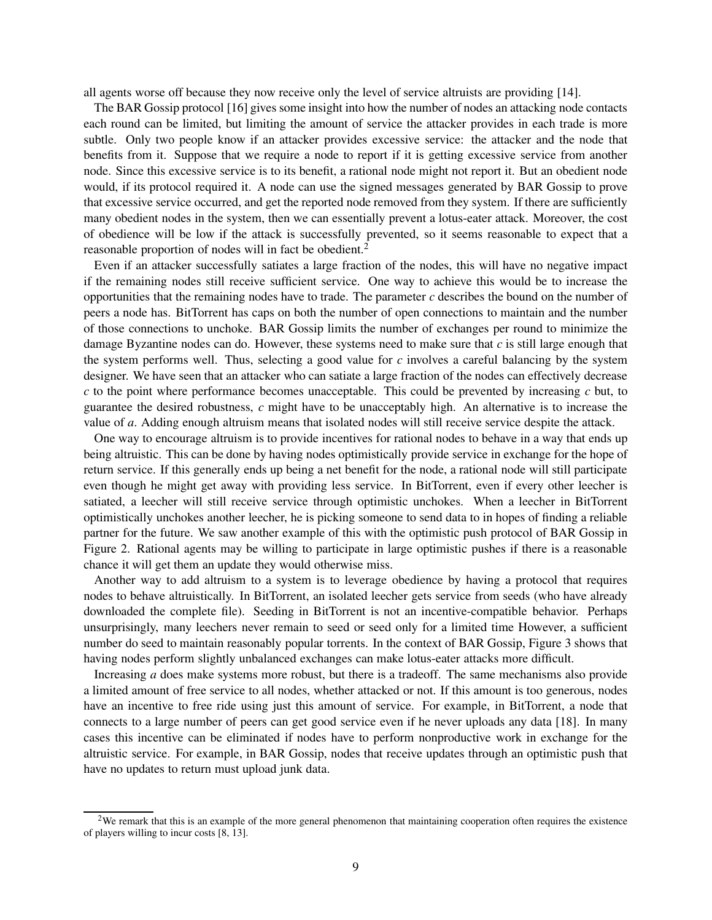all agents worse off because they now receive only the level of service altruists are providing [14].

The BAR Gossip protocol [16] gives some insight into how the number of nodes an attacking node contacts each round can be limited, but limiting the amount of service the attacker provides in each trade is more subtle. Only two people know if an attacker provides excessive service: the attacker and the node that benefits from it. Suppose that we require a node to report if it is getting excessive service from another node. Since this excessive service is to its benefit, a rational node might not report it. But an obedient node would, if its protocol required it. A node can use the signed messages generated by BAR Gossip to prove that excessive service occurred, and get the reported node removed from they system. If there are sufficiently many obedient nodes in the system, then we can essentially prevent a lotus-eater attack. Moreover, the cost of obedience will be low if the attack is successfully prevented, so it seems reasonable to expect that a reasonable proportion of nodes will in fact be obedient.<sup>2</sup>

Even if an attacker successfully satiates a large fraction of the nodes, this will have no negative impact if the remaining nodes still receive sufficient service. One way to achieve this would be to increase the opportunities that the remaining nodes have to trade. The parameter *c* describes the bound on the number of peers a node has. BitTorrent has caps on both the number of open connections to maintain and the number of those connections to unchoke. BAR Gossip limits the number of exchanges per round to minimize the damage Byzantine nodes can do. However, these systems need to make sure that *c* is still large enough that the system performs well. Thus, selecting a good value for  $c$  involves a careful balancing by the system designer. We have seen that an attacker who can satiate a large fraction of the nodes can effectively decrease *c* to the point where performance becomes unacceptable. This could be prevented by increasing *c* but, to guarantee the desired robustness, *c* might have to be unacceptably high. An alternative is to increase the value of *a*. Adding enough altruism means that isolated nodes will still receive service despite the attack.

One way to encourage altruism is to provide incentives for rational nodes to behave in a way that ends up being altruistic. This can be done by having nodes optimistically provide service in exchange for the hope of return service. If this generally ends up being a net benefit for the node, a rational node will still participate even though he might get away with providing less service. In BitTorrent, even if every other leecher is satiated, a leecher will still receive service through optimistic unchokes. When a leecher in BitTorrent optimistically unchokes another leecher, he is picking someone to send data to in hopes of finding a reliable partner for the future. We saw another example of this with the optimistic push protocol of BAR Gossip in Figure 2. Rational agents may be willing to participate in large optimistic pushes if there is a reasonable chance it will get them an update they would otherwise miss.

Another way to add altruism to a system is to leverage obedience by having a protocol that requires nodes to behave altruistically. In BitTorrent, an isolated leecher gets service from seeds (who have already downloaded the complete file). Seeding in BitTorrent is not an incentive-compatible behavior. Perhaps unsurprisingly, many leechers never remain to seed or seed only for a limited time However, a sufficient number do seed to maintain reasonably popular torrents. In the context of BAR Gossip, Figure 3 shows that having nodes perform slightly unbalanced exchanges can make lotus-eater attacks more difficult.

Increasing *a* does make systems more robust, but there is a tradeoff. The same mechanisms also provide a limited amount of free service to all nodes, whether attacked or not. If this amount is too generous, nodes have an incentive to free ride using just this amount of service. For example, in BitTorrent, a node that connects to a large number of peers can get good service even if he never uploads any data [18]. In many cases this incentive can be eliminated if nodes have to perform nonproductive work in exchange for the altruistic service. For example, in BAR Gossip, nodes that receive updates through an optimistic push that have no updates to return must upload junk data.

 $2$ We remark that this is an example of the more general phenomenon that maintaining cooperation often requires the existence of players willing to incur costs [8, 13].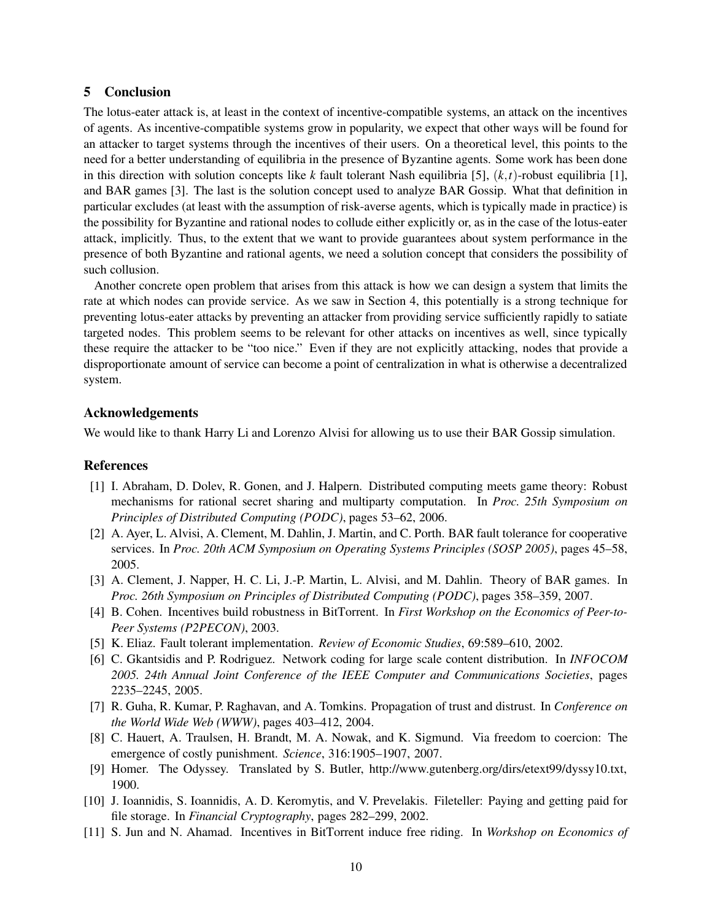# **5 Conclusion**

The lotus-eater attack is, at least in the context of incentive-compatible systems, an attack on the incentives of agents. As incentive-compatible systems grow in popularity, we expect that other ways will be found for an attacker to target systems through the incentives of their users. On a theoretical level, this points to the need for a better understanding of equilibria in the presence of Byzantine agents. Some work has been done in this direction with solution concepts like *k* fault tolerant Nash equilibria [5], (*k*,*t*)-robust equilibria [1], and BAR games [3]. The last is the solution concept used to analyze BAR Gossip. What that definition in particular excludes (at least with the assumption of risk-averse agents, which is typically made in practice) is the possibility for Byzantine and rational nodes to collude either explicitly or, as in the case of the lotus-eater attack, implicitly. Thus, to the extent that we want to provide guarantees about system performance in the presence of both Byzantine and rational agents, we need a solution concept that considers the possibility of such collusion.

Another concrete open problem that arises from this attack is how we can design a system that limits the rate at which nodes can provide service. As we saw in Section 4, this potentially is a strong technique for preventing lotus-eater attacks by preventing an attacker from providing service sufficiently rapidly to satiate targeted nodes. This problem seems to be relevant for other attacks on incentives as well, since typically these require the attacker to be "too nice." Even if they are not explicitly attacking, nodes that provide a disproportionate amount of service can become a point of centralization in what is otherwise a decentralized system.

### **Acknowledgements**

We would like to thank Harry Li and Lorenzo Alvisi for allowing us to use their BAR Gossip simulation.

#### **References**

- [1] I. Abraham, D. Dolev, R. Gonen, and J. Halpern. Distributed computing meets game theory: Robust mechanisms for rational secret sharing and multiparty computation. In *Proc. 25th Symposium on Principles of Distributed Computing (PODC)*, pages 53–62, 2006.
- [2] A. Ayer, L. Alvisi, A. Clement, M. Dahlin, J. Martin, and C. Porth. BAR fault tolerance for cooperative services. In *Proc. 20th ACM Symposium on Operating Systems Principles (SOSP 2005)*, pages 45–58, 2005.
- [3] A. Clement, J. Napper, H. C. Li, J.-P. Martin, L. Alvisi, and M. Dahlin. Theory of BAR games. In *Proc. 26th Symposium on Principles of Distributed Computing (PODC)*, pages 358–359, 2007.
- [4] B. Cohen. Incentives build robustness in BitTorrent. In *First Workshop on the Economics of Peer-to-Peer Systems (P2PECON)*, 2003.
- [5] K. Eliaz. Fault tolerant implementation. *Review of Economic Studies*, 69:589–610, 2002.
- [6] C. Gkantsidis and P. Rodriguez. Network coding for large scale content distribution. In *INFOCOM 2005. 24th Annual Joint Conference of the IEEE Computer and Communications Societies*, pages 2235–2245, 2005.
- [7] R. Guha, R. Kumar, P. Raghavan, and A. Tomkins. Propagation of trust and distrust. In *Conference on the World Wide Web (WWW)*, pages 403–412, 2004.
- [8] C. Hauert, A. Traulsen, H. Brandt, M. A. Nowak, and K. Sigmund. Via freedom to coercion: The emergence of costly punishment. *Science*, 316:1905–1907, 2007.
- [9] Homer. The Odyssey. Translated by S. Butler, http://www.gutenberg.org/dirs/etext99/dyssy10.txt, 1900.
- [10] J. Ioannidis, S. Ioannidis, A. D. Keromytis, and V. Prevelakis. Fileteller: Paying and getting paid for file storage. In *Financial Cryptography*, pages 282–299, 2002.
- [11] S. Jun and N. Ahamad. Incentives in BitTorrent induce free riding. In *Workshop on Economics of*